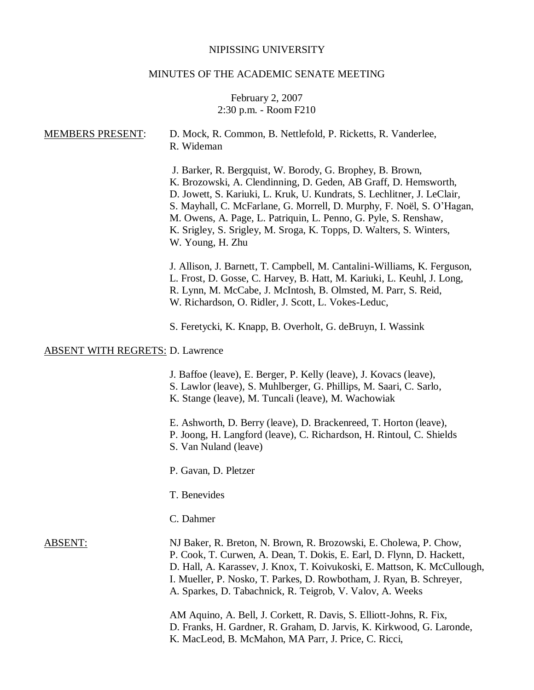## NIPISSING UNIVERSITY

# MINUTES OF THE ACADEMIC SENATE MEETING

## February 2, 2007 2:30 p.m. - Room F210

| <b>MEMBERS PRESENT:</b>                 | D. Mock, R. Common, B. Nettlefold, P. Ricketts, R. Vanderlee,<br>R. Wideman                                                                                                                                                                                                                                                                                                                                                                    |
|-----------------------------------------|------------------------------------------------------------------------------------------------------------------------------------------------------------------------------------------------------------------------------------------------------------------------------------------------------------------------------------------------------------------------------------------------------------------------------------------------|
|                                         | J. Barker, R. Bergquist, W. Borody, G. Brophey, B. Brown,<br>K. Brozowski, A. Clendinning, D. Geden, AB Graff, D. Hemsworth,<br>D. Jowett, S. Kariuki, L. Kruk, U. Kundrats, S. Lechlitner, J. LeClair,<br>S. Mayhall, C. McFarlane, G. Morrell, D. Murphy, F. Noël, S. O'Hagan,<br>M. Owens, A. Page, L. Patriquin, L. Penno, G. Pyle, S. Renshaw,<br>K. Srigley, S. Srigley, M. Sroga, K. Topps, D. Walters, S. Winters,<br>W. Young, H. Zhu |
|                                         | J. Allison, J. Barnett, T. Campbell, M. Cantalini-Williams, K. Ferguson,<br>L. Frost, D. Gosse, C. Harvey, B. Hatt, M. Kariuki, L. Keuhl, J. Long,<br>R. Lynn, M. McCabe, J. McIntosh, B. Olmsted, M. Parr, S. Reid,<br>W. Richardson, O. Ridler, J. Scott, L. Vokes-Leduc,                                                                                                                                                                    |
|                                         | S. Feretycki, K. Knapp, B. Overholt, G. deBruyn, I. Wassink                                                                                                                                                                                                                                                                                                                                                                                    |
| <b>ABSENT WITH REGRETS: D. Lawrence</b> |                                                                                                                                                                                                                                                                                                                                                                                                                                                |
|                                         | J. Baffoe (leave), E. Berger, P. Kelly (leave), J. Kovacs (leave),<br>S. Lawlor (leave), S. Muhlberger, G. Phillips, M. Saari, C. Sarlo,<br>K. Stange (leave), M. Tuncali (leave), M. Wachowiak                                                                                                                                                                                                                                                |
|                                         | E. Ashworth, D. Berry (leave), D. Brackenreed, T. Horton (leave),<br>P. Joong, H. Langford (leave), C. Richardson, H. Rintoul, C. Shields<br>S. Van Nuland (leave)                                                                                                                                                                                                                                                                             |
|                                         | P. Gavan, D. Pletzer                                                                                                                                                                                                                                                                                                                                                                                                                           |
|                                         | T. Benevides                                                                                                                                                                                                                                                                                                                                                                                                                                   |
|                                         | C. Dahmer                                                                                                                                                                                                                                                                                                                                                                                                                                      |
| <b>ABSENT:</b>                          | NJ Baker, R. Breton, N. Brown, R. Brozowski, E. Cholewa, P. Chow,<br>P. Cook, T. Curwen, A. Dean, T. Dokis, E. Earl, D. Flynn, D. Hackett,<br>D. Hall, A. Karassev, J. Knox, T. Koivukoski, E. Mattson, K. McCullough,<br>I. Mueller, P. Nosko, T. Parkes, D. Rowbotham, J. Ryan, B. Schreyer,<br>A. Sparkes, D. Tabachnick, R. Teigrob, V. Valov, A. Weeks                                                                                    |
|                                         | AM Aquino, A. Bell, J. Corkett, R. Davis, S. Elliott-Johns, R. Fix,<br>D. Franks, H. Gardner, R. Graham, D. Jarvis, K. Kirkwood, G. Laronde,<br>K. MacLeod, B. McMahon, MA Parr, J. Price, C. Ricci,                                                                                                                                                                                                                                           |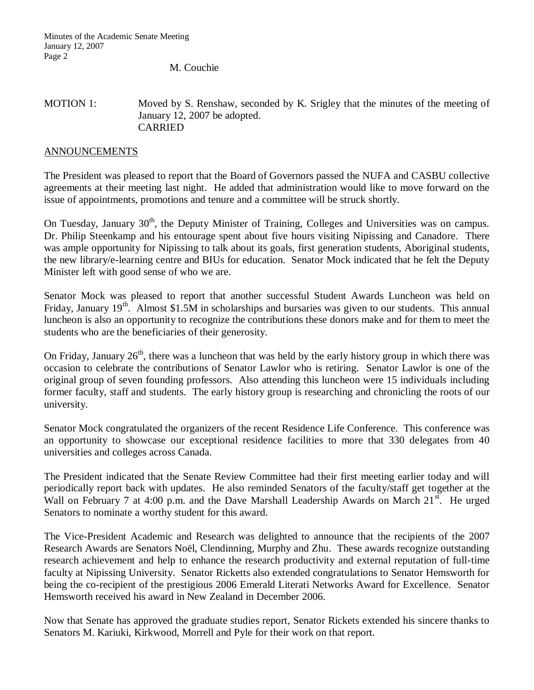M. Couchie

## MOTION 1: Moved by S. Renshaw, seconded by K. Srigley that the minutes of the meeting of January 12, 2007 be adopted. CARRIED

## ANNOUNCEMENTS

The President was pleased to report that the Board of Governors passed the NUFA and CASBU collective agreements at their meeting last night. He added that administration would like to move forward on the issue of appointments, promotions and tenure and a committee will be struck shortly.

On Tuesday, January 30<sup>th</sup>, the Deputy Minister of Training, Colleges and Universities was on campus. Dr. Philip Steenkamp and his entourage spent about five hours visiting Nipissing and Canadore. There was ample opportunity for Nipissing to talk about its goals, first generation students, Aboriginal students, the new library/e-learning centre and BIUs for education. Senator Mock indicated that he felt the Deputy Minister left with good sense of who we are.

Senator Mock was pleased to report that another successful Student Awards Luncheon was held on Friday, January 19<sup>th</sup>. Almost \$1.5M in scholarships and bursaries was given to our students. This annual luncheon is also an opportunity to recognize the contributions these donors make and for them to meet the students who are the beneficiaries of their generosity.

On Friday, January  $26<sup>th</sup>$ , there was a luncheon that was held by the early history group in which there was occasion to celebrate the contributions of Senator Lawlor who is retiring. Senator Lawlor is one of the original group of seven founding professors. Also attending this luncheon were 15 individuals including former faculty, staff and students. The early history group is researching and chronicling the roots of our university.

Senator Mock congratulated the organizers of the recent Residence Life Conference. This conference was an opportunity to showcase our exceptional residence facilities to more that 330 delegates from 40 universities and colleges across Canada.

The President indicated that the Senate Review Committee had their first meeting earlier today and will periodically report back with updates. He also reminded Senators of the faculty/staff get together at the Wall on February 7 at 4:00 p.m. and the Dave Marshall Leadership Awards on March  $21<sup>st</sup>$ . He urged Senators to nominate a worthy student for this award.

The Vice-President Academic and Research was delighted to announce that the recipients of the 2007 Research Awards are Senators Noël, Clendinning, Murphy and Zhu. These awards recognize outstanding research achievement and help to enhance the research productivity and external reputation of full-time faculty at Nipissing University. Senator Ricketts also extended congratulations to Senator Hemsworth for being the co-recipient of the prestigious 2006 Emerald Literati Networks Award for Excellence. Senator Hemsworth received his award in New Zealand in December 2006.

Now that Senate has approved the graduate studies report, Senator Rickets extended his sincere thanks to Senators M. Kariuki, Kirkwood, Morrell and Pyle for their work on that report.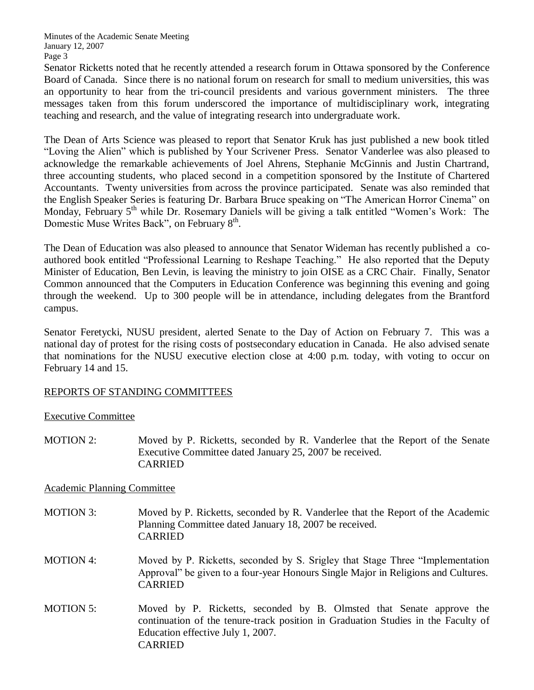Senator Ricketts noted that he recently attended a research forum in Ottawa sponsored by the Conference Board of Canada. Since there is no national forum on research for small to medium universities, this was an opportunity to hear from the tri-council presidents and various government ministers. The three messages taken from this forum underscored the importance of multidisciplinary work, integrating teaching and research, and the value of integrating research into undergraduate work.

The Dean of Arts Science was pleased to report that Senator Kruk has just published a new book titled "Loving the Alien" which is published by Your Scrivener Press. Senator Vanderlee was also pleased to acknowledge the remarkable achievements of Joel Ahrens, Stephanie McGinnis and Justin Chartrand, three accounting students, who placed second in a competition sponsored by the Institute of Chartered Accountants. Twenty universities from across the province participated. Senate was also reminded that the English Speaker Series is featuring Dr. Barbara Bruce speaking on "The American Horror Cinema" on Monday, February 5<sup>th</sup> while Dr. Rosemary Daniels will be giving a talk entitled "Women's Work: The Domestic Muse Writes Back", on February 8<sup>th</sup>.

The Dean of Education was also pleased to announce that Senator Wideman has recently published a coauthored book entitled "Professional Learning to Reshape Teaching." He also reported that the Deputy Minister of Education, Ben Levin, is leaving the ministry to join OISE as a CRC Chair. Finally, Senator Common announced that the Computers in Education Conference was beginning this evening and going through the weekend. Up to 300 people will be in attendance, including delegates from the Brantford campus.

Senator Feretycki, NUSU president, alerted Senate to the Day of Action on February 7. This was a national day of protest for the rising costs of postsecondary education in Canada. He also advised senate that nominations for the NUSU executive election close at 4:00 p.m. today, with voting to occur on February 14 and 15.

## REPORTS OF STANDING COMMITTEES

## Executive Committee

MOTION 2: Moved by P. Ricketts, seconded by R. Vanderlee that the Report of the Senate Executive Committee dated January 25, 2007 be received. CARRIED

## Academic Planning Committee

- MOTION 3: Moved by P. Ricketts, seconded by R. Vanderlee that the Report of the Academic Planning Committee dated January 18, 2007 be received. CARRIED
- MOTION 4: Moved by P. Ricketts, seconded by S. Srigley that Stage Three "Implementation Approval" be given to a four-year Honours Single Major in Religions and Cultures. CARRIED
- MOTION 5: Moved by P. Ricketts, seconded by B. Olmsted that Senate approve the continuation of the tenure-track position in Graduation Studies in the Faculty of Education effective July 1, 2007. CARRIED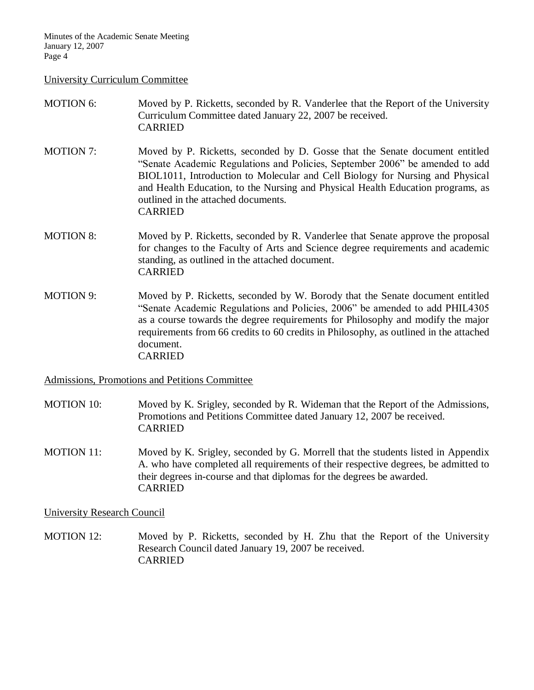#### University Curriculum Committee

## MOTION 6: Moved by P. Ricketts, seconded by R. Vanderlee that the Report of the University Curriculum Committee dated January 22, 2007 be received. CARRIED

- MOTION 7: Moved by P. Ricketts, seconded by D. Gosse that the Senate document entitled "Senate Academic Regulations and Policies, September 2006" be amended to add BIOL1011, Introduction to Molecular and Cell Biology for Nursing and Physical and Health Education, to the Nursing and Physical Health Education programs, as outlined in the attached documents. CARRIED
- MOTION 8: Moved by P. Ricketts, seconded by R. Vanderlee that Senate approve the proposal for changes to the Faculty of Arts and Science degree requirements and academic standing, as outlined in the attached document. CARRIED
- MOTION 9: Moved by P. Ricketts, seconded by W. Borody that the Senate document entitled "Senate Academic Regulations and Policies, 2006" be amended to add PHIL4305 as a course towards the degree requirements for Philosophy and modify the major requirements from 66 credits to 60 credits in Philosophy, as outlined in the attached document. CARRIED

Admissions, Promotions and Petitions Committee

- MOTION 10: Moved by K. Srigley, seconded by R. Wideman that the Report of the Admissions, Promotions and Petitions Committee dated January 12, 2007 be received. CARRIED
- MOTION 11: Moved by K. Srigley, seconded by G. Morrell that the students listed in Appendix A. who have completed all requirements of their respective degrees, be admitted to their degrees in-course and that diplomas for the degrees be awarded. CARRIED

University Research Council

MOTION 12: Moved by P. Ricketts, seconded by H. Zhu that the Report of the University Research Council dated January 19, 2007 be received. CARRIED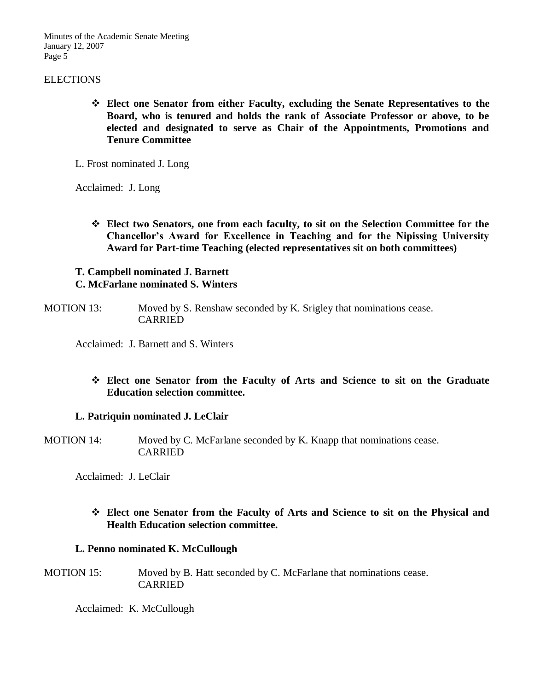## ELECTIONS

 **Elect one Senator from either Faculty, excluding the Senate Representatives to the Board, who is tenured and holds the rank of Associate Professor or above, to be elected and designated to serve as Chair of the Appointments, Promotions and Tenure Committee**

L. Frost nominated J. Long

Acclaimed: J. Long

 **Elect two Senators, one from each faculty, to sit on the Selection Committee for the Chancellor's Award for Excellence in Teaching and for the Nipissing University Award for Part-time Teaching (elected representatives sit on both committees)**

## **T. Campbell nominated J. Barnett C. McFarlane nominated S. Winters**

MOTION 13: Moved by S. Renshaw seconded by K. Srigley that nominations cease. CARRIED

Acclaimed: J. Barnett and S. Winters

## **Elect one Senator from the Faculty of Arts and Science to sit on the Graduate Education selection committee.**

### **L. Patriquin nominated J. LeClair**

MOTION 14: Moved by C. McFarlane seconded by K. Knapp that nominations cease. CARRIED

Acclaimed: J. LeClair

## **Elect one Senator from the Faculty of Arts and Science to sit on the Physical and Health Education selection committee.**

### **L. Penno nominated K. McCullough**

MOTION 15: Moved by B. Hatt seconded by C. McFarlane that nominations cease. CARRIED

Acclaimed: K. McCullough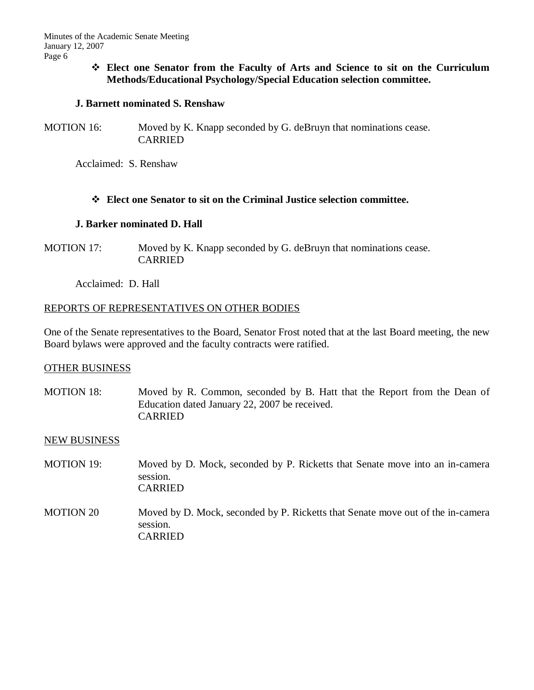**Elect one Senator from the Faculty of Arts and Science to sit on the Curriculum Methods/Educational Psychology/Special Education selection committee.**

## **J. Barnett nominated S. Renshaw**

MOTION 16: Moved by K. Knapp seconded by G. deBruyn that nominations cease. CARRIED

Acclaimed: S. Renshaw

## **Elect one Senator to sit on the Criminal Justice selection committee.**

## **J. Barker nominated D. Hall**

MOTION 17: Moved by K. Knapp seconded by G. deBruyn that nominations cease. CARRIED

Acclaimed: D. Hall

## REPORTS OF REPRESENTATIVES ON OTHER BODIES

One of the Senate representatives to the Board, Senator Frost noted that at the last Board meeting, the new Board bylaws were approved and the faculty contracts were ratified.

## OTHER BUSINESS

MOTION 18: Moved by R. Common, seconded by B. Hatt that the Report from the Dean of Education dated January 22, 2007 be received. CARRIED

## NEW BUSINESS

- MOTION 19: Moved by D. Mock, seconded by P. Ricketts that Senate move into an in-camera session. CARRIED
- MOTION 20 Moved by D. Mock, seconded by P. Ricketts that Senate move out of the in-camera session. CARRIED